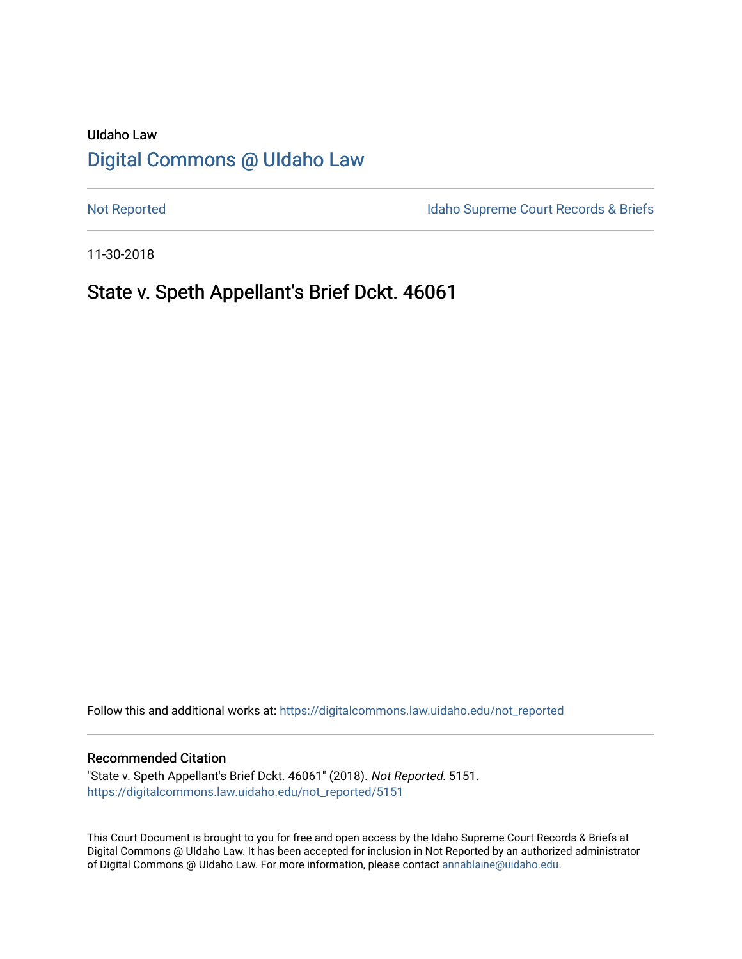# UIdaho Law [Digital Commons @ UIdaho Law](https://digitalcommons.law.uidaho.edu/)

[Not Reported](https://digitalcommons.law.uidaho.edu/not_reported) **Idaho Supreme Court Records & Briefs** 

11-30-2018

## State v. Speth Appellant's Brief Dckt. 46061

Follow this and additional works at: [https://digitalcommons.law.uidaho.edu/not\\_reported](https://digitalcommons.law.uidaho.edu/not_reported?utm_source=digitalcommons.law.uidaho.edu%2Fnot_reported%2F5151&utm_medium=PDF&utm_campaign=PDFCoverPages) 

#### Recommended Citation

"State v. Speth Appellant's Brief Dckt. 46061" (2018). Not Reported. 5151. [https://digitalcommons.law.uidaho.edu/not\\_reported/5151](https://digitalcommons.law.uidaho.edu/not_reported/5151?utm_source=digitalcommons.law.uidaho.edu%2Fnot_reported%2F5151&utm_medium=PDF&utm_campaign=PDFCoverPages)

This Court Document is brought to you for free and open access by the Idaho Supreme Court Records & Briefs at Digital Commons @ UIdaho Law. It has been accepted for inclusion in Not Reported by an authorized administrator of Digital Commons @ UIdaho Law. For more information, please contact [annablaine@uidaho.edu](mailto:annablaine@uidaho.edu).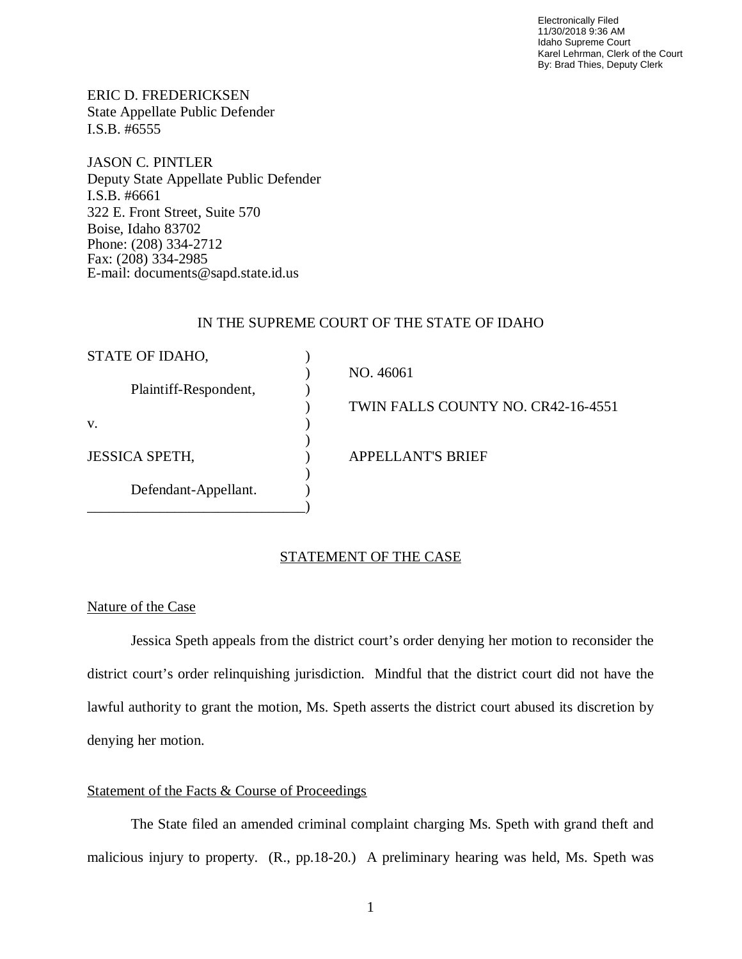Electronically Filed 11/30/2018 9:36 AM Idaho Supreme Court Karel Lehrman, Clerk of the Court By: Brad Thies, Deputy Clerk

ERIC D. FREDERICKSEN State Appellate Public Defender I.S.B. #6555

JASON C. PINTLER Deputy State Appellate Public Defender I.S.B. #6661 322 E. Front Street, Suite 570 Boise, Idaho 83702 Phone: (208) 334-2712 Fax: (208) 334-2985 E-mail: documents@sapd.state.id.us

#### IN THE SUPREME COURT OF THE STATE OF IDAHO

| STATE OF IDAHO,       |                                    |
|-----------------------|------------------------------------|
|                       | NO. 46061                          |
| Plaintiff-Respondent, |                                    |
|                       | TWIN FALLS COUNTY NO. CR42-16-4551 |
| V.                    |                                    |
|                       |                                    |
| <b>JESSICA SPETH,</b> | <b>APPELLANT'S BRIEF</b>           |
|                       |                                    |
| Defendant-Appellant.  |                                    |
|                       |                                    |

#### STATEMENT OF THE CASE

### Nature of the Case

Jessica Speth appeals from the district court's order denying her motion to reconsider the district court's order relinquishing jurisdiction. Mindful that the district court did not have the lawful authority to grant the motion, Ms. Speth asserts the district court abused its discretion by denying her motion.

#### Statement of the Facts & Course of Proceedings

The State filed an amended criminal complaint charging Ms. Speth with grand theft and malicious injury to property. (R., pp.18-20.) A preliminary hearing was held, Ms. Speth was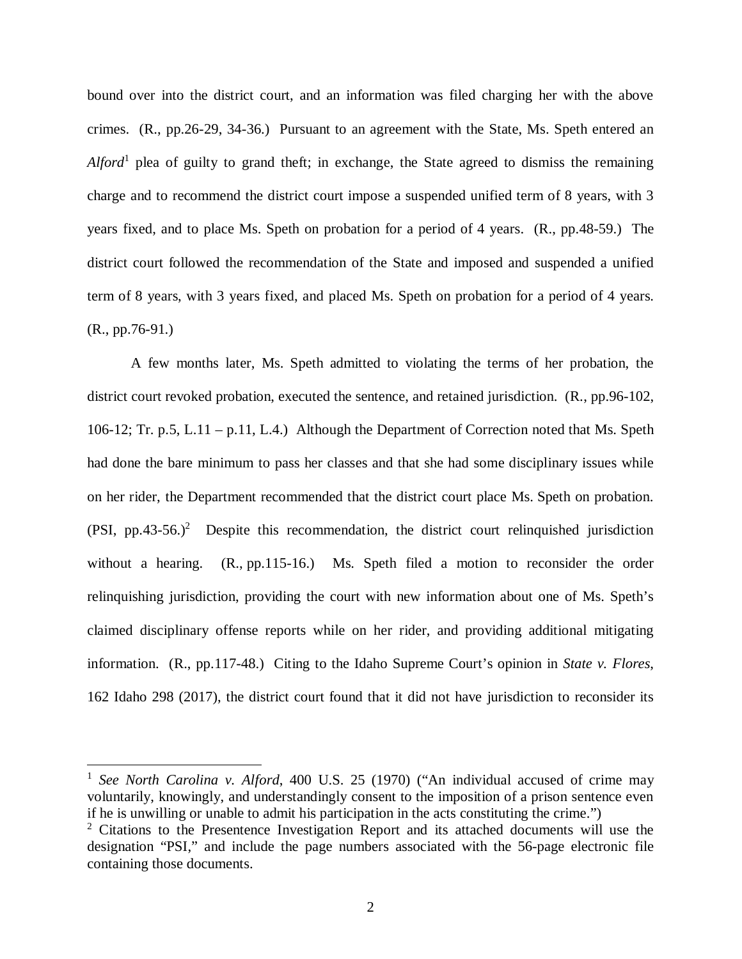bound over into the district court, and an information was filed charging her with the above crimes. (R., pp.26-29, 34-36.) Pursuant to an agreement with the State, Ms. Speth entered an *Alford*[1](#page-2-0) plea of guilty to grand theft; in exchange, the State agreed to dismiss the remaining charge and to recommend the district court impose a suspended unified term of 8 years, with 3 years fixed, and to place Ms. Speth on probation for a period of 4 years. (R., pp.48-59.) The district court followed the recommendation of the State and imposed and suspended a unified term of 8 years, with 3 years fixed, and placed Ms. Speth on probation for a period of 4 years. (R., pp.76-91.)

A few months later, Ms. Speth admitted to violating the terms of her probation, the district court revoked probation, executed the sentence, and retained jurisdiction. (R., pp.96-102, 106-12; Tr. p.5, L.11 – p.11, L.4.) Although the Department of Correction noted that Ms. Speth had done the bare minimum to pass her classes and that she had some disciplinary issues while on her rider, the Department recommended that the district court place Ms. Speth on probation.  $(PSI, pp.43-56.)^2$  $(PSI, pp.43-56.)^2$  Despite this recommendation, the district court relinquished jurisdiction without a hearing. (R., pp.115-16.) Ms. Speth filed a motion to reconsider the order relinquishing jurisdiction, providing the court with new information about one of Ms. Speth's claimed disciplinary offense reports while on her rider, and providing additional mitigating information. (R., pp.117-48.) Citing to the Idaho Supreme Court's opinion in *State v. Flores*, 162 Idaho 298 (2017), the district court found that it did not have jurisdiction to reconsider its

<span id="page-2-0"></span><sup>&</sup>lt;sup>1</sup> See North Carolina v. Alford, 400 U.S. 25 (1970) ("An individual accused of crime may voluntarily, knowingly, and understandingly consent to the imposition of a prison sentence even if he is unwilling or unable to admit his participation in the acts constituting the crime.")

<span id="page-2-1"></span> $2$  Citations to the Presentence Investigation Report and its attached documents will use the designation "PSI," and include the page numbers associated with the 56-page electronic file containing those documents.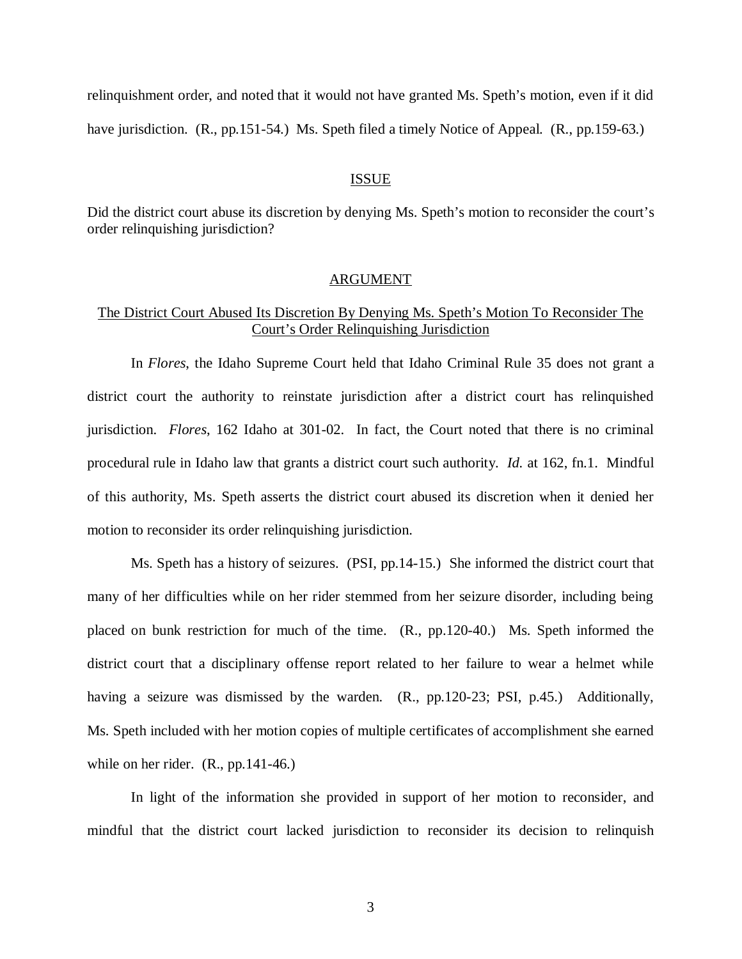relinquishment order, and noted that it would not have granted Ms. Speth's motion, even if it did have jurisdiction. (R., pp.151-54.) Ms. Speth filed a timely Notice of Appeal. (R., pp.159-63.)

#### ISSUE

Did the district court abuse its discretion by denying Ms. Speth's motion to reconsider the court's order relinquishing jurisdiction?

#### ARGUMENT

### The District Court Abused Its Discretion By Denying Ms. Speth's Motion To Reconsider The Court's Order Relinquishing Jurisdiction

In *Flores*, the Idaho Supreme Court held that Idaho Criminal Rule 35 does not grant a district court the authority to reinstate jurisdiction after a district court has relinquished jurisdiction. *Flores*, 162 Idaho at 301-02. In fact, the Court noted that there is no criminal procedural rule in Idaho law that grants a district court such authority. *Id.* at 162, fn.1. Mindful of this authority, Ms. Speth asserts the district court abused its discretion when it denied her motion to reconsider its order relinquishing jurisdiction.

Ms. Speth has a history of seizures. (PSI, pp.14-15.) She informed the district court that many of her difficulties while on her rider stemmed from her seizure disorder, including being placed on bunk restriction for much of the time. (R., pp.120-40.) Ms. Speth informed the district court that a disciplinary offense report related to her failure to wear a helmet while having a seizure was dismissed by the warden. (R., pp.120-23; PSI, p.45.) Additionally, Ms. Speth included with her motion copies of multiple certificates of accomplishment she earned while on her rider. (R., pp. 141-46.)

In light of the information she provided in support of her motion to reconsider, and mindful that the district court lacked jurisdiction to reconsider its decision to relinquish